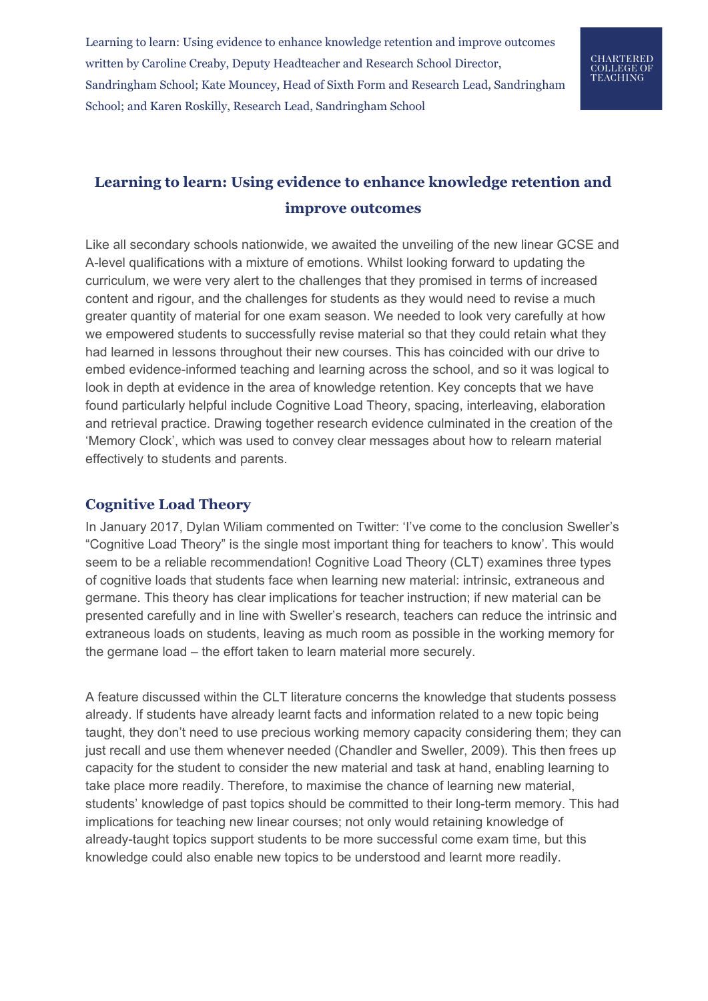# CHARTERED<br>COLLEGE OF<br>TEACHING

# **Learning to learn: Using evidence to enhance knowledge retention and improve outcomes**

Like all secondary schools nationwide, we awaited the unveiling of the new linear GCSE and A-level qualifications with a mixture of emotions. Whilst looking forward to updating the curriculum, we were very alert to the challenges that they promised in terms of increased content and rigour, and the challenges for students as they would need to revise a much greater quantity of material for one exam season. We needed to look very carefully at how we empowered students to successfully revise material so that they could retain what they had learned in lessons throughout their new courses. This has coincided with our drive to embed evidence-informed teaching and learning across the school, and so it was logical to look in depth at evidence in the area of knowledge retention. Key concepts that we have found particularly helpful include Cognitive Load Theory, spacing, interleaving, elaboration and retrieval practice. Drawing together research evidence culminated in the creation of the 'Memory Clock', which was used to convey clear messages about how to relearn material effectively to students and parents.

### **Cognitive Load Theory**

In January 2017, Dylan Wiliam commented on Twitter: 'I've come to the conclusion Sweller's "Cognitive Load Theory" is the single most important thing for teachers to know'. This would seem to be a reliable recommendation! Cognitive Load Theory (CLT) examines three types of cognitive loads that students face when learning new material: intrinsic, extraneous and germane. This theory has clear implications for teacher instruction; if new material can be presented carefully and in line with Sweller's research, teachers can reduce the intrinsic and extraneous loads on students, leaving as much room as possible in the working memory for the germane load – the effort taken to learn material more securely.

A feature discussed within the CLT literature concerns the knowledge that students possess already. If students have already learnt facts and information related to a new topic being taught, they don't need to use precious working memory capacity considering them; they can just recall and use them whenever needed (Chandler and Sweller, 2009). This then frees up capacity for the student to consider the new material and task at hand, enabling learning to take place more readily. Therefore, to maximise the chance of learning new material, students' knowledge of past topics should be committed to their long-term memory. This had implications for teaching new linear courses; not only would retaining knowledge of already-taught topics support students to be more successful come exam time, but this knowledge could also enable new topics to be understood and learnt more readily.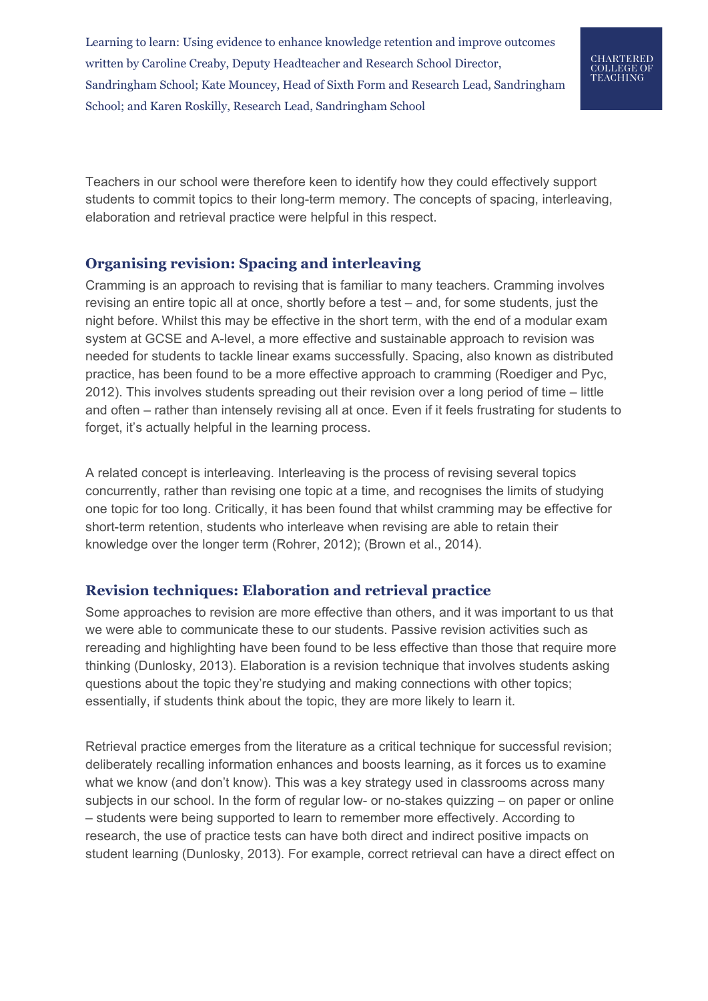

Teachers in our school were therefore keen to identify how they could effectively support students to commit topics to their long-term memory. The concepts of spacing, interleaving, elaboration and retrieval practice were helpful in this respect.

## **Organising revision: Spacing and interleaving**

Cramming is an approach to revising that is familiar to many teachers. Cramming involves revising an entire topic all at once, shortly before a test – and, for some students, just the night before. Whilst this may be effective in the short term, with the end of a modular exam system at GCSE and A-level, a more effective and sustainable approach to revision was needed for students to tackle linear exams successfully. Spacing, also known as distributed practice, has been found to be a more effective approach to cramming (Roediger and Pyc, 2012). This involves students spreading out their revision over a long period of time – little and often – rather than intensely revising all at once. Even if it feels frustrating for students to forget, it's actually helpful in the learning process.

A related concept is interleaving. Interleaving is the process of revising several topics concurrently, rather than revising one topic at a time, and recognises the limits of studying one topic for too long. Critically, it has been found that whilst cramming may be effective for short-term retention, students who interleave when revising are able to retain their knowledge over the longer term (Rohrer, 2012); (Brown et al., 2014).

### **Revision techniques: Elaboration and retrieval practice**

Some approaches to revision are more effective than others, and it was important to us that we were able to communicate these to our students. Passive revision activities such as rereading and highlighting have been found to be less effective than those that require more thinking (Dunlosky, 2013). Elaboration is a revision technique that involves students asking questions about the topic they're studying and making connections with other topics; essentially, if students think about the topic, they are more likely to learn it.

Retrieval practice emerges from the literature as a critical technique for successful revision; deliberately recalling information enhances and boosts learning, as it forces us to examine what we know (and don't know). This was a key strategy used in classrooms across many subjects in our school. In the form of regular low- or no-stakes quizzing – on paper or online – students were being supported to learn to remember more effectively. According to research, the use of practice tests can have both direct and indirect positive impacts on student learning (Dunlosky, 2013). For example, correct retrieval can have a direct effect on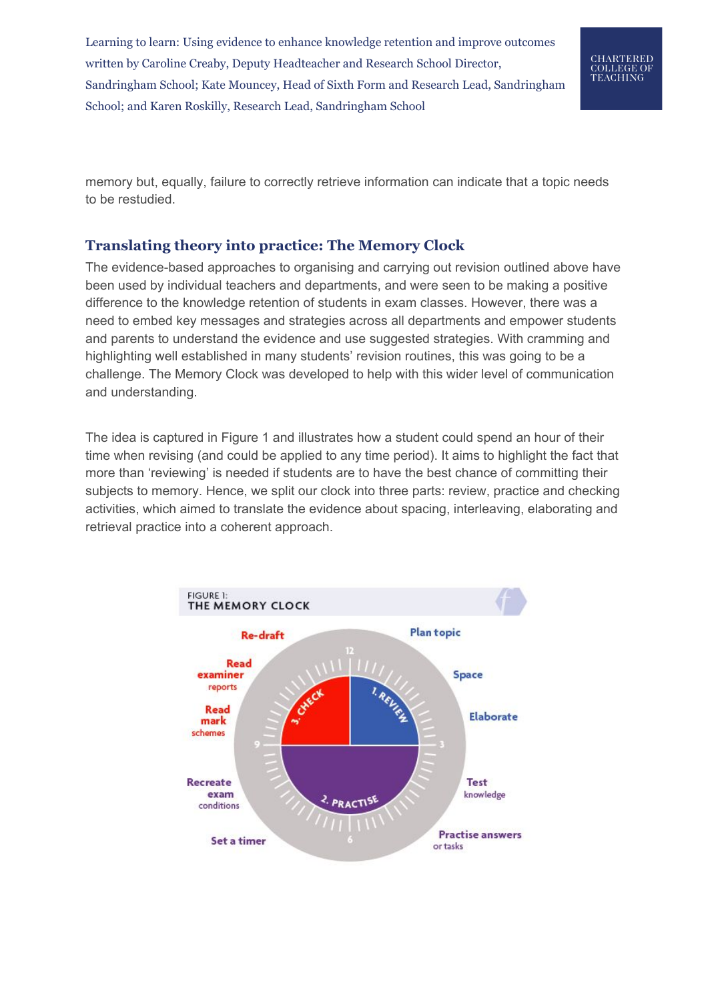

memory but, equally, failure to correctly retrieve information can indicate that a topic needs to be restudied.

### **Translating theory into practice: The Memory Clock**

The evidence-based approaches to organising and carrying out revision outlined above have been used by individual teachers and departments, and were seen to be making a positive difference to the knowledge retention of students in exam classes. However, there was a need to embed key messages and strategies across all departments and empower students and parents to understand the evidence and use suggested strategies. With cramming and highlighting well established in many students' revision routines, this was going to be a challenge. The Memory Clock was developed to help with this wider level of communication and understanding.

The idea is captured in Figure 1 and illustrates how a student could spend an hour of their time when revising (and could be applied to any time period). It aims to highlight the fact that more than 'reviewing' is needed if students are to have the best chance of committing their subjects to memory. Hence, we split our clock into three parts: review, practice and checking activities, which aimed to translate the evidence about spacing, interleaving, elaborating and retrieval practice into a coherent approach.

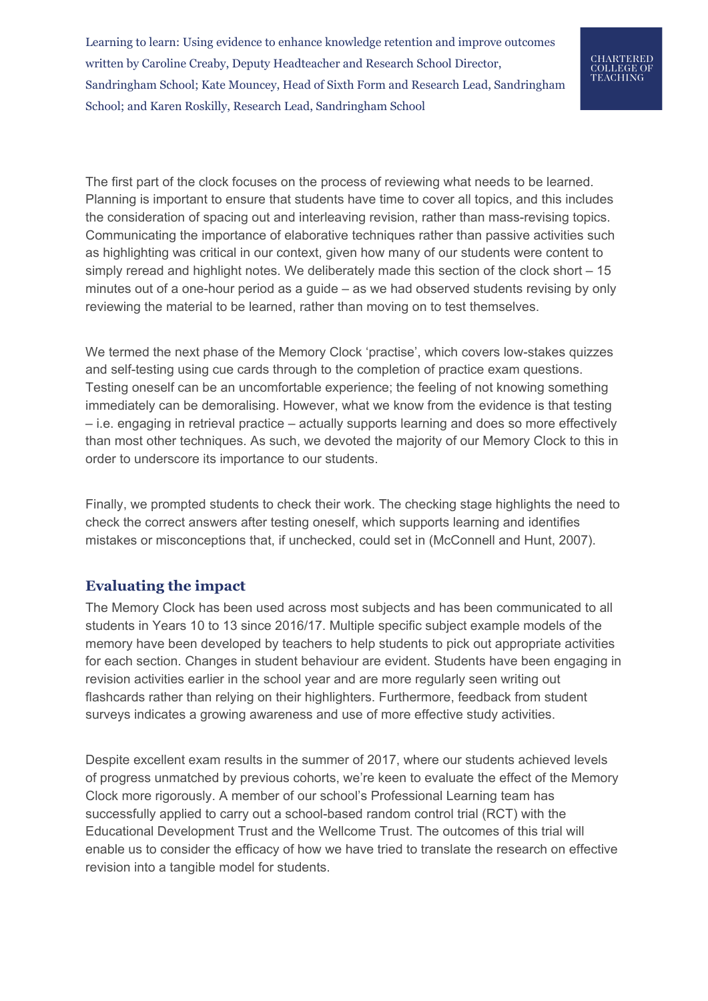

The first part of the clock focuses on the process of reviewing what needs to be learned. Planning is important to ensure that students have time to cover all topics, and this includes the consideration of spacing out and interleaving revision, rather than mass-revising topics. Communicating the importance of elaborative techniques rather than passive activities such as highlighting was critical in our context, given how many of our students were content to simply reread and highlight notes. We deliberately made this section of the clock short – 15 minutes out of a one-hour period as a guide – as we had observed students revising by only reviewing the material to be learned, rather than moving on to test themselves.

We termed the next phase of the Memory Clock 'practise', which covers low-stakes quizzes and self-testing using cue cards through to the completion of practice exam questions. Testing oneself can be an uncomfortable experience; the feeling of not knowing something immediately can be demoralising. However, what we know from the evidence is that testing – i.e. engaging in retrieval practice – actually supports learning and does so more effectively than most other techniques. As such, we devoted the majority of our Memory Clock to this in order to underscore its importance to our students.

Finally, we prompted students to check their work. The checking stage highlights the need to check the correct answers after testing oneself, which supports learning and identifies mistakes or misconceptions that, if unchecked, could set in (McConnell and Hunt, 2007).

#### **Evaluating the impact**

The Memory Clock has been used across most subjects and has been communicated to all students in Years 10 to 13 since 2016/17. Multiple specific subject example models of the memory have been developed by teachers to help students to pick out appropriate activities for each section. Changes in student behaviour are evident. Students have been engaging in revision activities earlier in the school year and are more regularly seen writing out flashcards rather than relying on their highlighters. Furthermore, feedback from student surveys indicates a growing awareness and use of more effective study activities.

Despite excellent exam results in the summer of 2017, where our students achieved levels of progress unmatched by previous cohorts, we're keen to evaluate the effect of the Memory Clock more rigorously. A member of our school's Professional Learning team has successfully applied to carry out a school-based random control trial (RCT) with the Educational Development Trust and the Wellcome Trust. The outcomes of this trial will enable us to consider the efficacy of how we have tried to translate the research on effective revision into a tangible model for students.